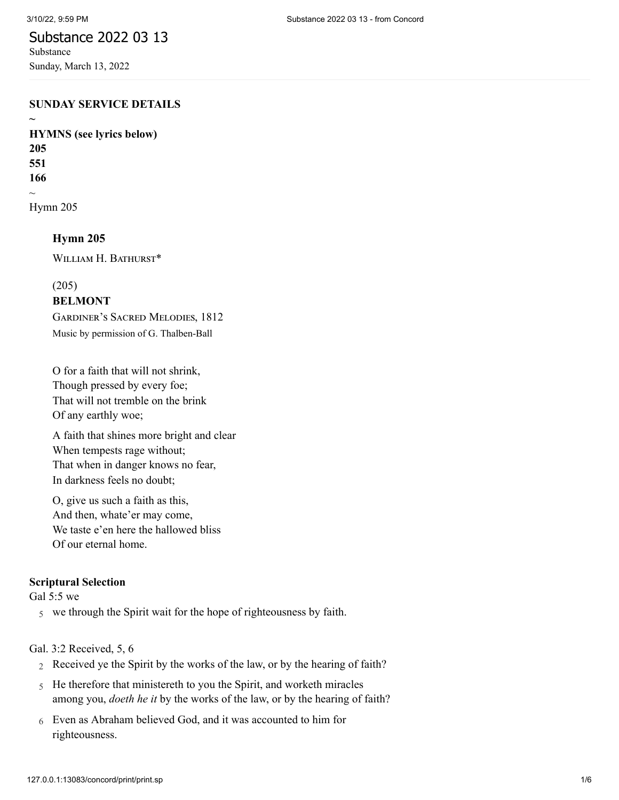**~**

# Substance 2022 03 13

Substance Sunday, March 13, 2022

#### **SUNDAY SERVICE DETAILS**

**HYMNS (see lyrics below) 205 551 166**  $\sim$ [Hymn 205](http://www.concordworks.com/citation/Hymn%20205)

**Hymn 205**

WILLIAM H. BATHURST\*

(205)

### **BELMONT**

Gardiner's Sacred Melodies, 1812 Music by permission of G. Thalben-Ball

O for a faith that will not shrink, Though pressed by every foe; That will not tremble on the brink Of any earthly woe;

A faith that shines more bright and clear When tempests rage without; That when in danger knows no fear, In darkness feels no doubt;

O, give us such a faith as this, And then, whate'er may come, We taste e'en here the hallowed bliss Of our eternal home.

## **Scriptural Selection**

[Gal 5:5 we](http://www.concordworks.com/citation/Gal%205:5%20we)

5 we through the Spirit wait for the hope of righteousness by faith.

[Gal. 3:2 Received, 5, 6](http://www.concordworks.com/citation/Gal.%203:2%20Received,%205,%206)

- 2 Received ye the Spirit by the works of the law, or by the hearing of faith?
- 5 He therefore that ministereth to you the Spirit, and worketh miracles among you, *doeth he it* by the works of the law, or by the hearing of faith?
- 6 Even as Abraham believed God, and it was accounted to him for righteousness.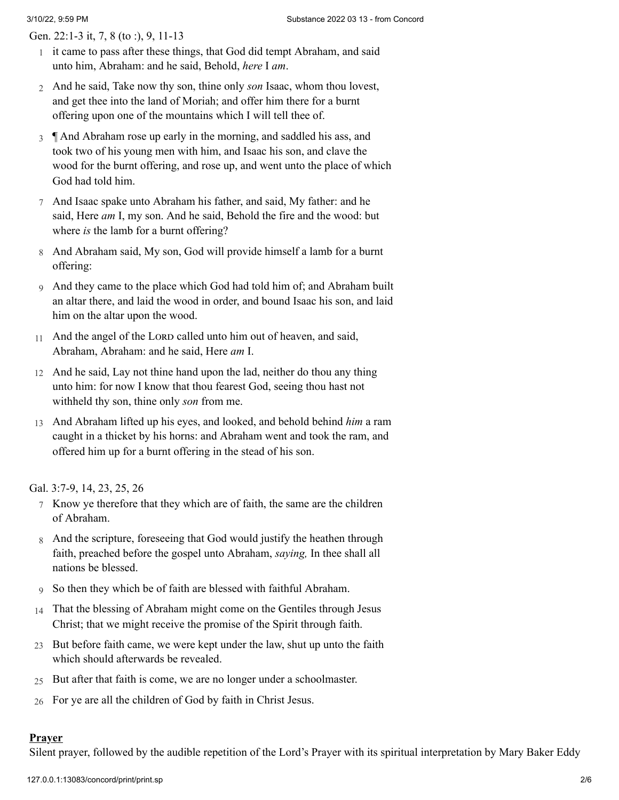[Gen. 22:1-3 it, 7, 8 \(to :\), 9, 11-13](http://www.concordworks.com/citation/Gen.%2022:1-3%20it,%207,%208%20(to%20:),%209,%2011-13)

- 1 it came to pass after these things, that God did tempt Abraham, and said unto him, Abraham: and he said, Behold, *here* I *am*.
- 2 And he said, Take now thy son, thine only *son* Isaac, whom thou lovest, and get thee into the land of Moriah; and offer him there for a burnt offering upon one of the mountains which I will tell thee of.
- 3 ¶ And Abraham rose up early in the morning, and saddled his ass, and took two of his young men with him, and Isaac his son, and clave the wood for the burnt offering, and rose up, and went unto the place of which God had told him.
- 7 And Isaac spake unto Abraham his father, and said, My father: and he said, Here *am* I, my son. And he said, Behold the fire and the wood: but where *is* the lamb for a burnt offering?
- 8 And Abraham said, My son, God will provide himself a lamb for a burnt offering:
- 9 And they came to the place which God had told him of; and Abraham built an altar there, and laid the wood in order, and bound Isaac his son, and laid him on the altar upon the wood.
- 11 And the angel of the LORD called unto him out of heaven, and said, Abraham, Abraham: and he said, Here *am* I.
- 12 And he said, Lay not thine hand upon the lad, neither do thou any thing unto him: for now I know that thou fearest God, seeing thou hast not withheld thy son, thine only *son* from me.
- 13 And Abraham lifted up his eyes, and looked, and behold behind *him* a ram caught in a thicket by his horns: and Abraham went and took the ram, and offered him up for a burnt offering in the stead of his son.

[Gal. 3:7-9, 14, 23, 25, 26](http://www.concordworks.com/citation/Gal.%203:7-9,%2014,%2023,%2025,%2026)

- 7 Know ye therefore that they which are of faith, the same are the children of Abraham.
- 8 And the scripture, foreseeing that God would justify the heathen through faith, preached before the gospel unto Abraham, *saying,* In thee shall all nations be blessed.
- 9 So then they which be of faith are blessed with faithful Abraham.
- 14 That the blessing of Abraham might come on the Gentiles through Jesus Christ; that we might receive the promise of the Spirit through faith.
- 23 But before faith came, we were kept under the law, shut up unto the faith which should afterwards be revealed.
- 25 But after that faith is come, we are no longer under a schoolmaster.
- 26 For ye are all the children of God by faith in Christ Jesus.

### **Prayer**

Silent prayer, followed by the audible repetition of the Lord's Prayer with its spiritual interpretation by Mary Baker Eddy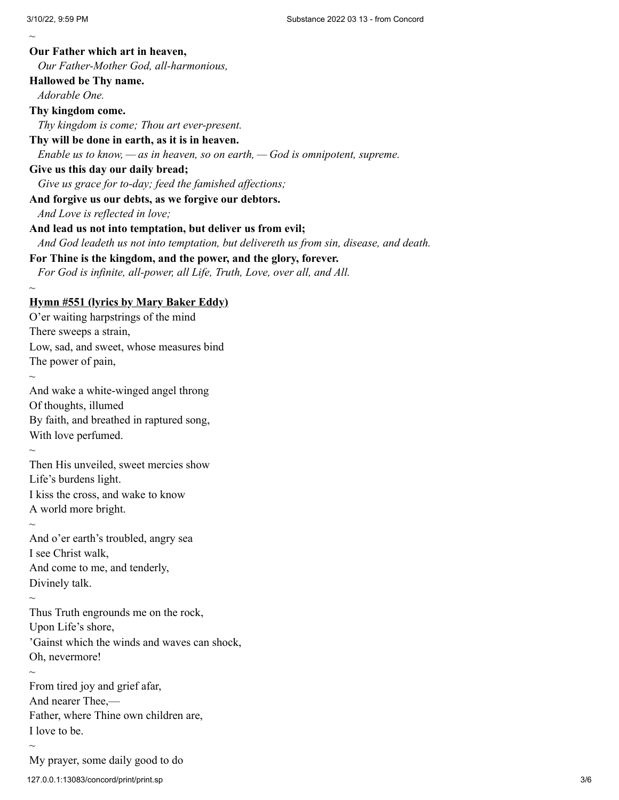$\sim$ **Our Father which art in heaven,** *Our Father-Mother God, all-harmonious,* **Hallowed be Thy name.** *Adorable One.* **Thy kingdom come.** *Thy kingdom is come; Thou art ever-present.* **Thy will be done in earth, as it is in heaven.** *Enable us to know, — as in heaven, so on earth, — God is omnipotent, supreme.* **Give us this day our daily bread;** *Give us grace for to-day; feed the famished affections;* **And forgive us our debts, as we forgive our debtors.** *And Love is reflected in love;* **And lead us not into temptation, but deliver us from evil;** *And God leadeth us not into temptation, but delivereth us from sin, disease, and death.* **For Thine is the kingdom, and the power, and the glory, forever.** *For God is infinite, all-power, all Life, Truth, Love, over all, and All. ~* **Hymn #551 (lyrics by Mary Baker Eddy)** O'er waiting harpstrings of the mind There sweeps a strain, Low, sad, and sweet, whose measures bind The power of pain,  $\sim$ And wake a white-winged angel throng Of thoughts, illumed By faith, and breathed in raptured song, With love perfumed.  $\sim$ Then His unveiled, sweet mercies show Life's burdens light. I kiss the cross, and wake to know A world more bright.  $\sim$ And o'er earth's troubled, angry sea I see Christ walk, And come to me, and tenderly, Divinely talk.  $\sim$ Thus Truth engrounds me on the rock, Upon Life's shore, 'Gainst which the winds and waves can shock, Oh, nevermore!  $\sim$ From tired joy and grief afar, And nearer Thee,— Father, where Thine own children are, I love to be.  $\sim$ 

127.0.0.1:13083/concord/print/print.sp 3/6 My prayer, some daily good to do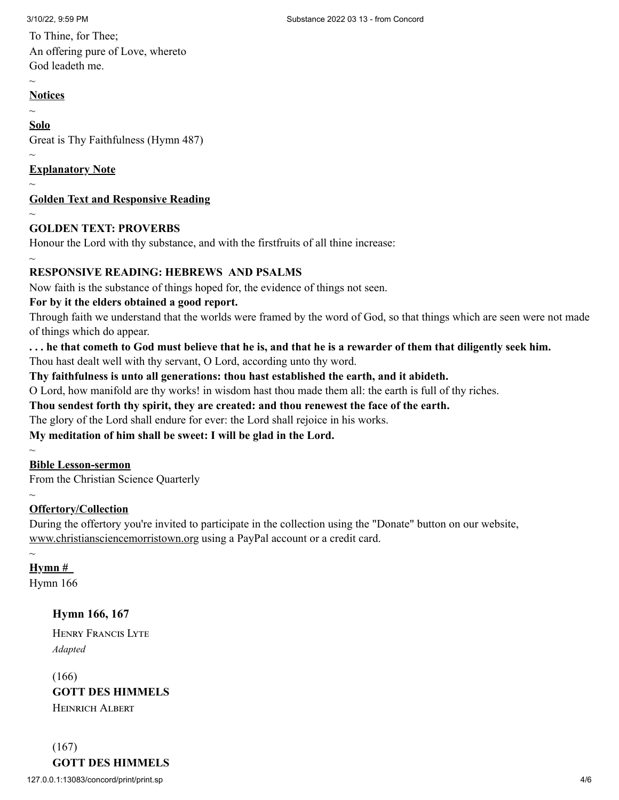To Thine, for Thee; An offering pure of Love, whereto God leadeth me.

#### $\sim$ **Notices**

 $\sim$ 

## **Solo**

Great is Thy Faithfulness (Hymn 487)

## **Explanatory Note**

 $\sim$ 

 $\sim$ 

# **Golden Text and Responsive Reading**

 $\sim$ 

 $\sim$ 

# **GOLDEN TEXT: PROVERBS**

Honour the Lord with thy substance, and with the firstfruits of all thine increase:

# **RESPONSIVE READING: HEBREWS AND PSALMS**

Now faith is the substance of things hoped for, the evidence of things not seen.

## **For by it the elders obtained a good report.**

Through faith we understand that the worlds were framed by the word of God, so that things which are seen were not made of things which do appear.

**. . . he that cometh to God must believe that he is, and that he is a rewarder of them that diligently seek him.**

Thou hast dealt well with thy servant, O Lord, according unto thy word.

## **Thy faithfulness is unto all generations: thou hast established the earth, and it abideth.**

O Lord, how manifold are thy works! in wisdom hast thou made them all: the earth is full of thy riches.

## **Thou sendest forth thy spirit, they are created: and thou renewest the face of the earth.**

The glory of the Lord shall endure for ever: the Lord shall rejoice in his works.

**My meditation of him shall be sweet: I will be glad in the Lord.**

## **Bible Lesson-sermon**

From the Christian Science Quarterly

#### $\sim$ **Offertory/Collection**

During the offertory you're invited to participate in the collection using the "Donate" button on our website, www.christiansciencemorristown.org using a PayPal account or a credit card.

# $\sim$

 $\sim$ 

**Hymn #**

[Hymn 166](http://www.concordworks.com/citation/Hymn%20166)

# **Hymn 166, 167**

Henry Francis Lyte *Adapted*

(166) **GOTT DES HIMMELS** Heinrich Albert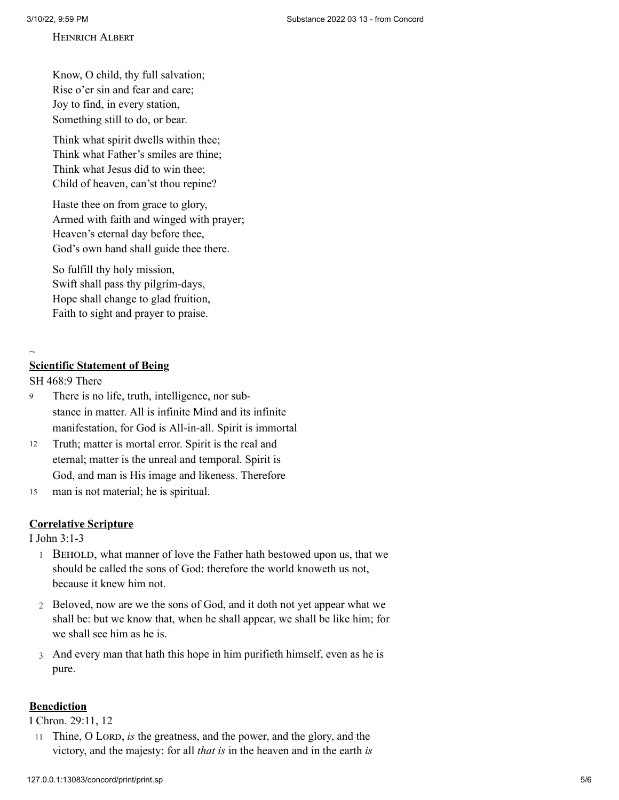#### Heinrich Albert

Know, O child, thy full salvation; Rise o'er sin and fear and care; Joy to find, in every station, Something still to do, or bear.

Think what spirit dwells within thee; Think what Father's smiles are thine; Think what Jesus did to win thee; Child of heaven, can'st thou repine?

Haste thee on from grace to glory, Armed with faith and winged with prayer; Heaven's eternal day before thee, God's own hand shall guide thee there.

So fulfill thy holy mission, Swift shall pass thy pilgrim-days, Hope shall change to glad fruition, Faith to sight and prayer to praise.

#### $\sim$

#### **Scientific Statement of Being**

#### [SH 468:9 There](http://www.concordworks.com/citation/SH%20468:9%20There)

- There is no life, truth, intelligence, nor substance in matter. All is infinite Mind and its infinite manifestation, for God is All-in-all. Spirit is immortal 9
- Truth; matter is mortal error. Spirit is the real and eternal; matter is the unreal and temporal. Spirit is God, and man is His image and likeness. Therefore 12
- man is not material; he is spiritual. 15

#### **Correlative Scripture**

[I John 3:1-3](http://www.concordworks.com/citation/I%20John%203:1-3)

- 1 BEHOLD, what manner of love the Father hath bestowed upon us, that we should be called the sons of God: therefore the world knoweth us not, because it knew him not.
- 2 Beloved, now are we the sons of God, and it doth not yet appear what we shall be: but we know that, when he shall appear, we shall be like him; for we shall see him as he is.
- 3 And every man that hath this hope in him purifieth himself, even as he is pure.

### **Benediction**

[I Chron. 29:11, 12](http://www.concordworks.com/citation/I%20Chron.%2029:11,%2012)

11 Thine, O Lord, *is* the greatness, and the power, and the glory, and the victory, and the majesty: for all *that is* in the heaven and in the earth *is*